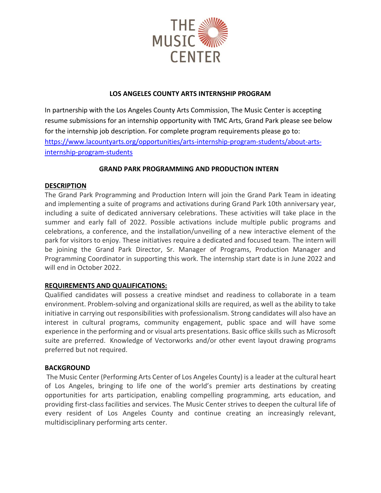

# **LOS ANGELES COUNTY ARTS INTERNSHIP PROGRAM**

In partnership with the Los Angeles County Arts Commission, The Music Center is accepting resume submissions for an internship opportunity with TMC Arts, Grand Park please see below for the internship job description. For complete program requirements please go to: [https://www.lacountyarts.org/opportunities/arts-internship-program-students/about-arts](https://www.lacountyarts.org/opportunities/arts-internship-program-students/about-arts-internship-program-students)[internship-program-students](https://www.lacountyarts.org/opportunities/arts-internship-program-students/about-arts-internship-program-students)

# **GRAND PARK PROGRAMMING AND PRODUCTION INTERN**

## **DESCRIPTION**

The Grand Park Programming and Production Intern will join the Grand Park Team in ideating and implementing a suite of programs and activations during Grand Park 10th anniversary year, including a suite of dedicated anniversary celebrations. These activities will take place in the summer and early fall of 2022. Possible activations include multiple public programs and celebrations, a conference, and the installation/unveiling of a new interactive element of the park for visitors to enjoy. These initiatives require a dedicated and focused team. The intern will be joining the Grand Park Director, Sr. Manager of Programs, Production Manager and Programming Coordinator in supporting this work. The internship start date is in June 2022 and will end in October 2022.

## **REQUIREMENTS AND QUALIFICATIONS:**

Qualified candidates will possess a creative mindset and readiness to collaborate in a team environment. Problem-solving and organizational skills are required, as well as the ability to take initiative in carrying out responsibilities with professionalism. Strong candidates will also have an interest in cultural programs, community engagement, public space and will have some experience in the performing and or visual arts presentations. Basic office skills such as Microsoft suite are preferred. Knowledge of Vectorworks and/or other event layout drawing programs preferred but not required.

## **BACKGROUND**

The Music Center (Performing Arts Center of Los Angeles County) is a leader at the cultural heart of Los Angeles, bringing to life one of the world's premier arts destinations by creating opportunities for arts participation, enabling compelling programming, arts education, and providing first-class facilities and services. The Music Center strives to deepen the cultural life of every resident of Los Angeles County and continue creating an increasingly relevant, multidisciplinary performing arts center.